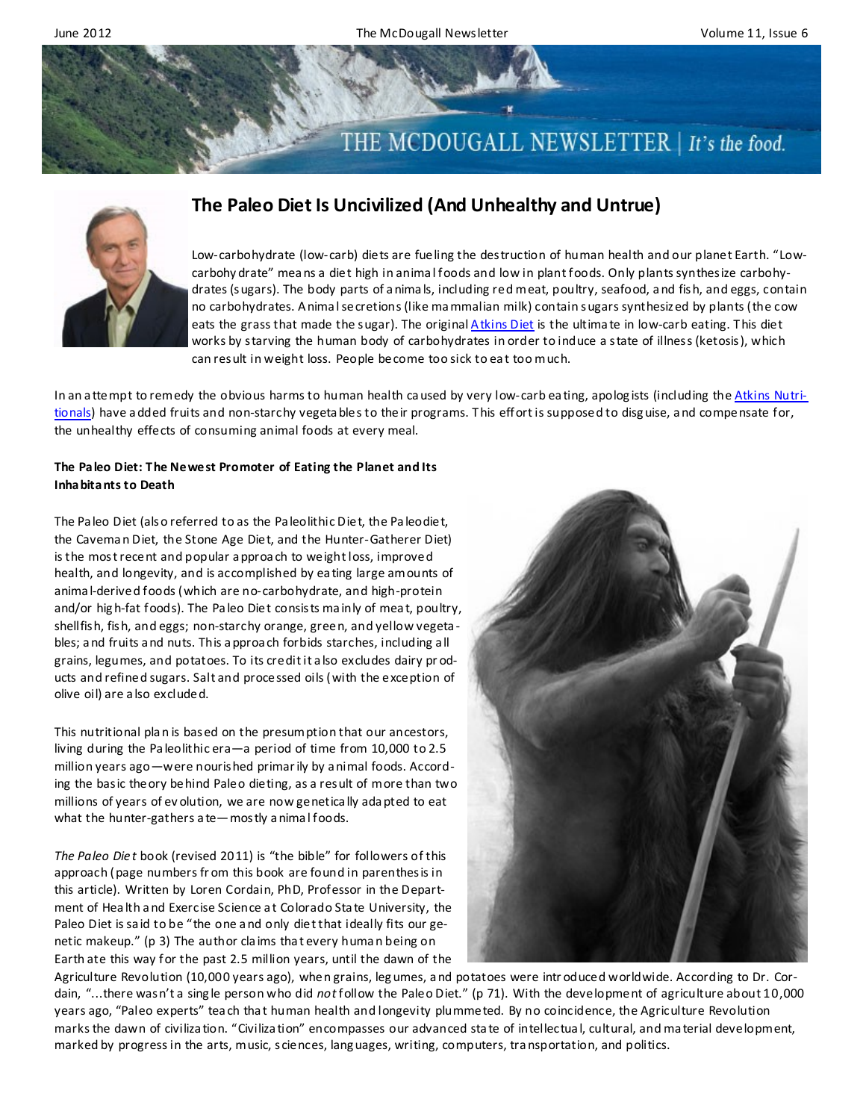

# **The Paleo Diet Is Uncivilized (And Unhealthy and Untrue)**



In an attempt to remedy the obvious harms to human health caused by very low-carb eating, apologists (including the [Atkins Nutri](http://www.atkins.com/Home.aspx)[tionals\)](http://www.atkins.com/Home.aspx) have added fruits and non-starchy vegetables to their programs. This effort is supposed to disguise, and compensate for, the unhealthy effects of consuming animal foods at every meal.

### **The Paleo Diet: The Newest Promoter of Eating the Planet and Its Inhabitants to Death**

The Pa leo Diet (also referred to as the Pa leolithic Diet, the Pa leodiet, the Cavema n Diet, the Stone Age Diet, and the Hunter-Gatherer Diet) is the most recent and popular a pproa ch to weight loss, improved health, and longevity, and is accomplished by ea ting large amounts of anima l-derived foods (which are no-carbohydrate, and high-protein and/or hig h-fat foods). The Pa leo Diet consists ma inly of mea t, poultry, shellfish, fish, and eggs; non-starchy orange, green, and yellow vegeta bles; a nd fruits a nd nuts. This a pproa ch forbids starches, including a ll grains, legumes, and potatoes. To its credit it a lso excludes dairy pr oducts and refined sugars. Salt and processed oils (with the exception of olive oil) are a lso excluded.

This nutritional pla n is based on the presumption that our ancestors, living during the Pa leolithic era—a period of time from 10,000 to 2.5 million years ago—were nourished primar ily by a nimal foods. According the basic theory behind Paleo dieting, as a result of more than two millions of years of ev olution, we are now genetica lly ada pted to eat what the hunter-gathers a te-mostly a nimal foods.

*The Paleo Die t* book (revised 2011) is "the bible" for followers of this approach (page numbers fr om this book are found in parenthesis in this article). Written by Loren Cordain, PhD, Professor in the Department of Hea lth a nd Exercise Science a t Colorado Sta te University, the Paleo Diet is sa id to be "the one a nd only diet that ideally fits our genetic makeup." (p 3) The author cla ims tha t every huma n being on Earth ate this way for the past 2.5 million years, until the dawn of the



Agriculture Revolution (10,000 years ago), when grains, leg umes, a nd potatoes were intr oduced worldwide. According to Dr. Cordain, "...there wasn't a sing le person who did *not*follow the Paleo Diet." (p 71). With the development of agriculture about 10,000 years ago, "Paleo experts" tea ch tha t human health and longevity plummeted. By no coincidence, the Agriculture Revolution marks the dawn of civiliza tion. "Civiliza tion" encompasses our advanced sta te of intellectua l, cultural, and ma terial development, marked by progress in the arts, music, sciences, lang uages, writing, computers, tra nsportation, and politics.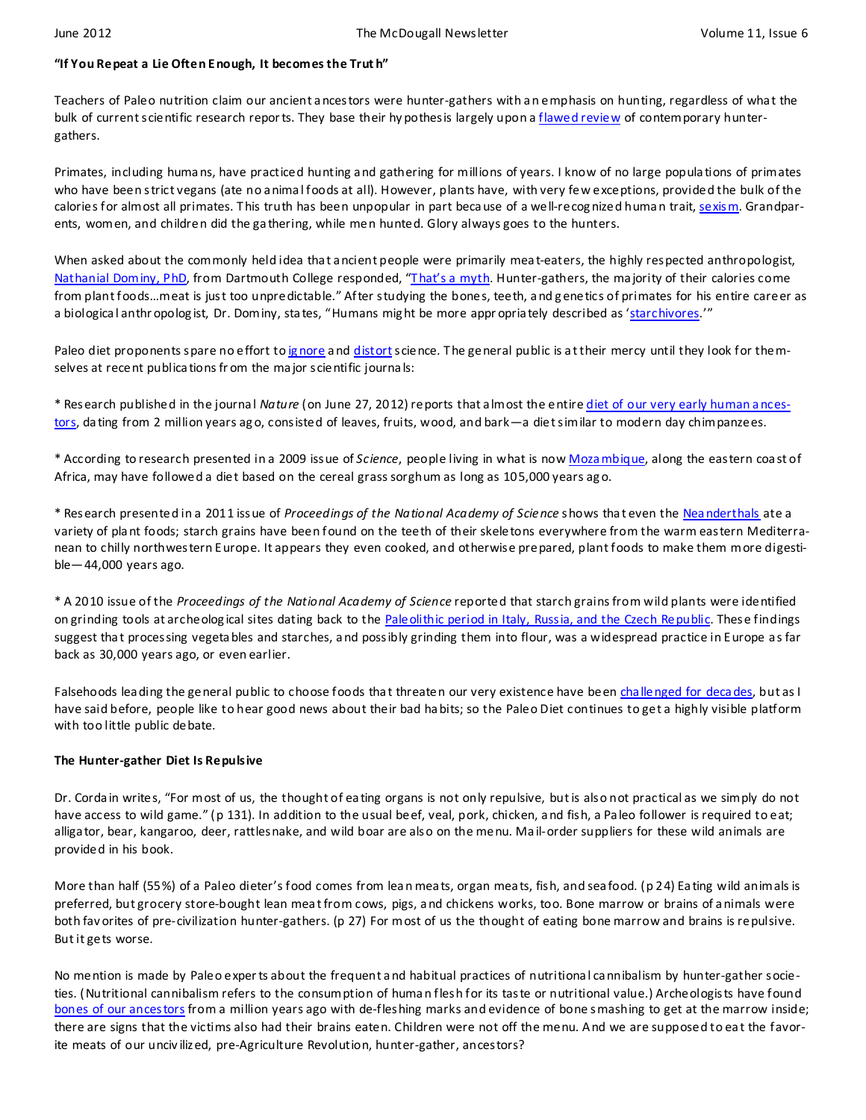## **"If You Repeat a Lie Often Enough, It becomes the Trut h"**

Teachers of Paleo nutrition claim our ancient ancestors were hunter-gathers with an emphasis on hunting, regardless of what the bulk of current scientific research reports. They base their hy pothesis largely upon a [flawed review](http://www.ajcn.org/content/71/3/665.long) of contemporary huntergathers.

Primates, including huma ns, have practiced hunting a nd gathering for millions of years. I know of no large popula tions of primates who have been strict vegans (ate no a nima l foods at all). However, plants have, with very few exceptions, provided the bulk of the calories for almost all primates. This truth has been unpopular in part because of a well-recognized human trait, [sexism.](http://en.wikipedia.org/wiki/Sexism) Grandparents, women, and children did the ga thering, while men hunted. Glory always goes to the hunters.

When asked about the commonly held idea that a ncient people were primarily meat-eaters, the highly respected anthropologist, [Nathanial Dominy, PhD](http://www.youtube.com/watch?v=h0PF5R0ywp4), from Dartmouth College responded, "That's a myth. Hunter-gathers, the majority of their calories come from plant foods…meat is just too unpredictable." After studying the bones, teeth, a nd g enetics of primates for his entire career as a biologica l anthr opolog ist, Dr. Dominy, sta tes, "Humans mig ht be more appr opria tely described as '[starchivores](http://www.youtube.com/watch?v=ufNEoLeVplc&feature=youtu.be).'"

Paleo diet proponents spare no effort to ignore and [distort](http://www.ajcn.org/content/72/6/1589.full.pdf+html) science. The general public is at their mercy until they look for themselves at recent publica tions fr om the ma jor scientific journa ls:

\* Research published in the journa l *Nature* (on June 27, 2012) reports that a lmost the entire [diet of our very early human a nces](http://www.nytimes.com/2012/06/28/science/australopithecus-sediba-preferred-forest-foods-fossil-teeth-suggest.html)[tors,](http://www.nytimes.com/2012/06/28/science/australopithecus-sediba-preferred-forest-foods-fossil-teeth-suggest.html) da ting from 2 million years ago, consisted of leaves, fruits, wood, and bark—a diet similar to modern day chimpanzees.

\* According to research presented in a 2009 issue of *Science*, people living in what is now [Moza mbique,](http://www.ncbi.nlm.nih.gov/pubmed/20019285) along the eastern coa st of Africa, may have followed a diet based on the cereal grass sorghum as long as 105,000 years ag o.

\* Research presented in a 2011 issue of *Proceedings of the National Academy of Scie nce* shows tha t even the [Nea nderthals](http://www.ncbi.nlm.nih.gov/pubmed/21187393) ate a variety of pla nt foods; starch grains have been found on the teeth of their skeletons everywhere from the warm eastern Mediterranean to chilly northwestern Europe. It appears they even cooked, and otherwise prepared, plant foods to make them more digestible—44,000 years ago.

\* A 2010 issue of the *Proceedings of the National Academy of Science* reported that starch grains from wild plants were identified on grinding tools at archeological sites dating back to the [Paleolithic period in Italy, Russia, and the Czech Republic.](http://www.ncbi.nlm.nih.gov/pubmed/20956317) These findings suggest tha t processing vegeta bles and starches, a nd possibly grinding them into flour, was a widespread practice in Europe as far back as 30,000 years ago, or even earlier.

Falsehoods leading the general public to choose foods that threaten our very existence have been challenged for decades, but as I have said before, people like to hear good news about their bad ha bits; so the Paleo Diet continues to get a highly visible platform with too little public debate.

## **The Hunter-gather Diet Is Repulsive**

Dr. Corda in writes, "For most of us, the thought of ea ting organs is not only repulsive, but is also not practical as we simply do not have access to wild game." (p 131). In addition to the usual beef, veal, pork, chicken, a nd fish, a Pa leo follower is required to eat; alliga tor, bear, kangaroo, deer, rattlesnake, and wild boar are also on the menu. Ma il-order suppliers for these wild animals are provided in his book.

More than half (55%) of a Paleo dieter's food comes from lea n mea ts, organ mea ts, fish, and sea food. (p 24) Ea ting wild animals is preferred, but grocery store-bought lean mea t from cows, pigs, a nd chickens works, too. Bone marrow or brains of a nimals were both fav orites of pre-civilization hunter-gathers. (p 27) For most of us the thought of eating bone marrow and brains is repulsive. But it gets worse.

No mention is made by Paleo exper ts about the frequent a nd habitual practices of nutritiona l ca nnibalism by hunter-gather societies. (Nutritional cannibalism refers to the consumption of huma n flesh for its taste or nutritional value.) Archeologists have found [bones of our ancestors](http://news.nationalgeographic.com/news/2010/08/100831-cannibalism-cannibal-cavemen-human-meat-science/) from a million years ago with de-fleshing marks and evidence of bone smashing to get at the marrow inside; there are signs that the victims also had their brains eaten. Children were not off the menu. And we are supposed to eat the favorite meats of our unciv ilized, pre-Agriculture Revolution, hunter-gather, ancestors?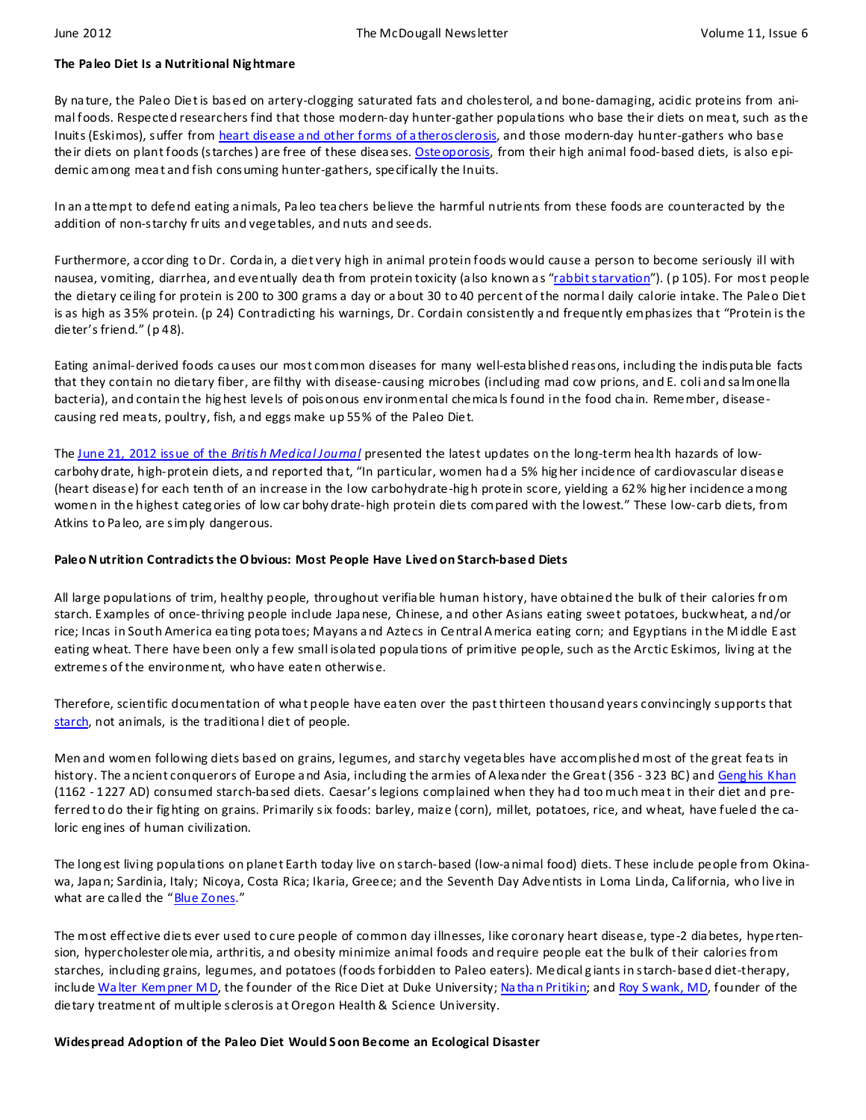#### **The Paleo Diet Is a Nutritional Nig htmare**

By na ture, the Paleo Diet is based on artery-clogging saturated fats and cholesterol, a nd bone-damaging, acidic proteins from animal foods. Respected researchers find that those modern-day hunter-gather popula tions who base their diets on mea t, such as the Inuits (Eskimos), suffer from heart disease and other forms of a therosclerosis, and those modern-day hunter-gathers who base their diets on plant foods (starches) are free of these diseases. [Osteoporosis,](http://www.ncbi.nlm.nih.gov/pubmed/4412233) from their high animal food-based diets, is also epidemic among mea t and fish consuming hunter-gathers, specifically the Inuits.

In an a ttempt to defend eating a nimals, Pa leo tea chers believe the harmful nutrients from these foods are counteracted by the addition of non-starchy fr uits and vegetables, and nuts and seeds.

Furthermore, a ccor ding to Dr. Corda in, a diet very high in animal protein foods would cause a person to become seriously ill with nausea, vomiting, diarrhea, and eventually death from protein toxicity (also known as "[rabbit starvation](http://en.wikipedia.org/wiki/Rabbit_starvation)"). (p 105). For most people the dietary ceiling for protein is 200 to 300 grams a day or a bout 30 to 40 percent of the norma l daily calorie intake. The Paleo Diet is as high as 35% protein. (p 24) Contradicting his warnings, Dr. Cordain consistently a nd frequently emphasizes tha t "Protein is the dieter's friend." (p 48).

Eating animal-derived foods ca uses our most common diseases for many well-esta blished reasons, including the indisputa ble facts that they contain no dietary fiber, are filthy with disease-causing microbes (including mad cow prions, and E. coli and sa lmonella bacteria), and contain the hig hest levels of poisonous env ironmental chemica ls found in the food cha in. Remember, diseasecausing red mea ts, poultry, fish, a nd eggs make up 55% of the Paleo Diet.

The [June 21, 2012 issue of the](http://www.ncbi.nlm.nih.gov/pubmed/22718914) *British Medical Journal* presented the latest updates on the long-term hea lth hazards of lowcarbohy drate, high-protein diets, a nd reported tha t, "In particular, women ha d a 5% hig her incidence of cardiovascular disease (heart disease) for each tenth of an increase in the low carbohydrate-hig h protein score, yielding a 62% hig her incidence a mong women in the highest categ ories of low car bohy drate-high protein diets compared with the lowest." These low-carb diets, from Atkins to Pa leo, are simply dangerous.

### **Paleo N utrition Contradicts the O bvious: Most People Have Lived on Starch-based Diets**

All large populations of trim, healthy people, throughout verifia ble human history, have obtained the bulk of their calories fr om starch. Examples of once-thriving people include Japa nese, Chinese, a nd other Asians eating sweet potatoes, buckwheat, a nd/or rice; Incas in South America ea ting pota toes; Mayans a nd Aztecs in Central A merica eating corn; and Egyptians in the M iddle East eating wheat. T here have been only a few small isola ted popula tions of primitive people, such as the Arctic Eskimos, living at the extremes of the environment, who have eaten otherwise.

Therefore, scientific documentation of wha t people have ea ten over the past thirteen thousand years convincingly supports that [starch,](http://www.amazon.com/The-Starch-Solution-Regain-Health/dp/1609613937/ref=sr_1_1?ie=UTF8&qid=1336876360&sr=8-1) not animals, is the traditional diet of people.

Men and women following diets based on grains, legumes, and starchy vegeta bles have accomplished most of the great fea ts in history. The ancient conquerors of Europe and Asia, including the armies of Alexander the Great (356 - 323 BC) and Genghis Khan (1162 - 1227 AD) consumed starch-ba sed diets. Caesar's legions complained when they ha d too much mea t in their diet and preferred to do their fig hting on grains. Primarily six foods: barley, maize (corn), millet, potatoes, rice, and wheat, have fueled the caloric eng ines of human civilization.

The long est living popula tions on planet Earth today live on starch-based (low-a nimal food) diets. T hese include people from Okinawa, Japa n; Sardinia, Italy; Nicoya, Costa Rica; Ikaria, Greece; and the Seventh Day Adventists in Loma Linda, Ca lifornia, who live in what are called the "[Blue Zones](http://travel.nationalgeographic.com/travel/happiest-places/blue-zones/)."

The most effective diets ever used to cure people of common day illnesses, like coronary heart disease, type-2 dia betes, hypertension, hypercholester olemia, arthritis, a nd obesity minimize animal foods and require people eat the bulk of their calories from starches, including grains, legumes, and potatoes (foods forbidden to Paleo eaters). Medical g iants in starch-based diet-therapy, include <u>Walter Kempner M D</u>, the founder of the Rice Diet at Duke University; <u>Na than Pritikin</u>; and <u>Roy S wank, MD</u>, founder of the dietary treatment of multiple sclerosis a t Oregon Health & Science University.

## **Widespread Adoption of the Paleo Diet Would S oon Become an Ecological Disaster**